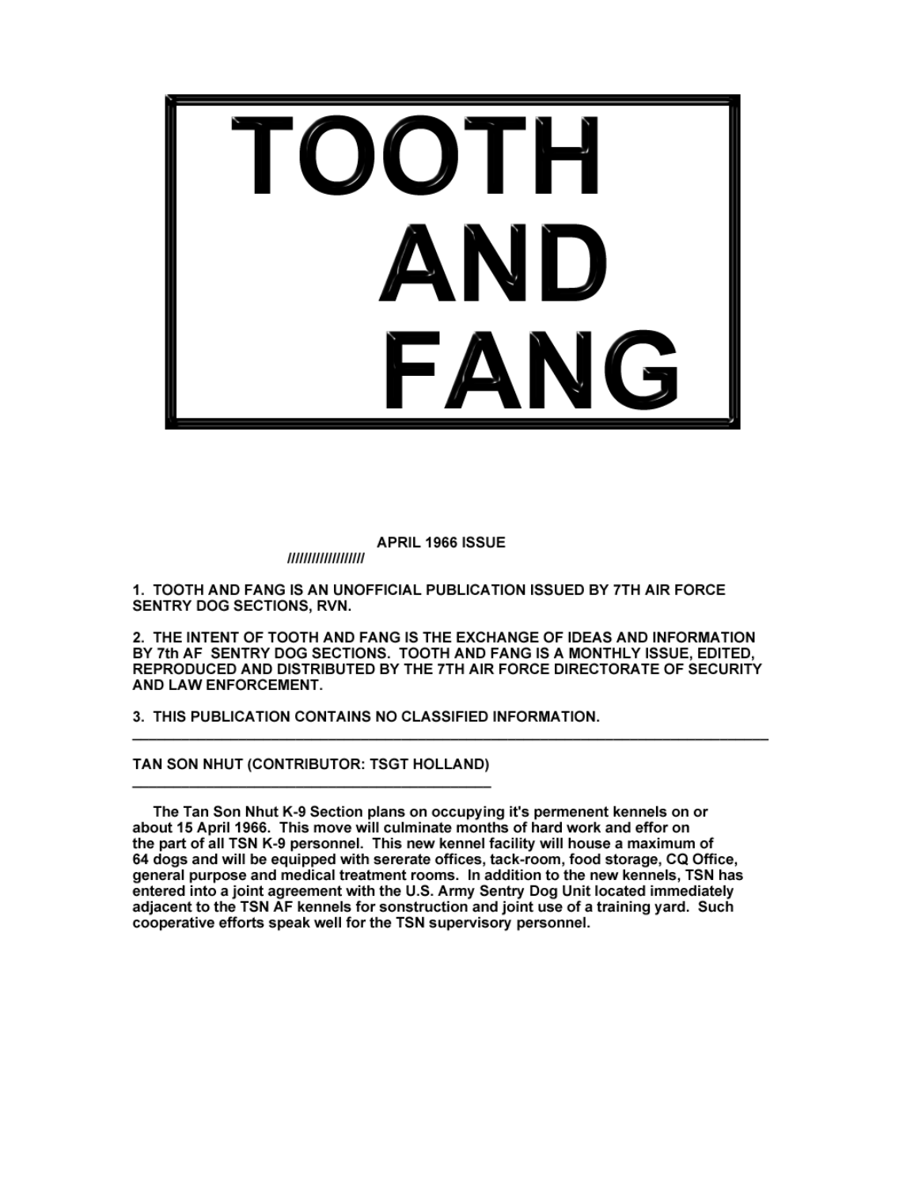

APRIL 1966 ISSUE

,,,,,,,,,,,,,,,,,,,

1. TOOTH AND FANG IS AN UNOFFICIAL PUBLICATION ISSUED BY 7TH AIR FORCE SENTRY DOG SECTIONS, RVN.

2. THE INTENT OF TOOTH AND FANG IS THE EXCHANGE OF IDEAS AND INFORMATION BY 7th AF SENTRY DOG SECTIONS. TOOTH AND FANG IS A MONTHLY ISSUE, EDITED. REPRODUCED AND DISTRIBUTED BY THE 7TH AIR FORCE DIRECTORATE OF SECURITY AND LAW ENFORCEMENT.

3. THIS PUBLICATION CONTAINS NO CLASSIFIED INFORMATION.

TAN SON NHUT (CONTRIBUTOR: TSGT HOLLAND)

The Tan Son Nhut K-9 Section plans on occupying it's permenent kennels on or about 15 April 1966. This move will culminate months of hard work and effor on the part of all TSN K-9 personnel. This new kennel facility will house a maximum of 64 dogs and will be equipped with sererate offices, tack-room, food storage, CQ Office, general purpose and medical treatment rooms. In addition to the new kennels, TSN has entered into a joint agreement with the U.S. Army Sentry Dog Unit located immediately adjacent to the TSN AF kennels for sonstruction and joint use of a training yard. Such cooperative efforts speak well for the TSN supervisory personnel.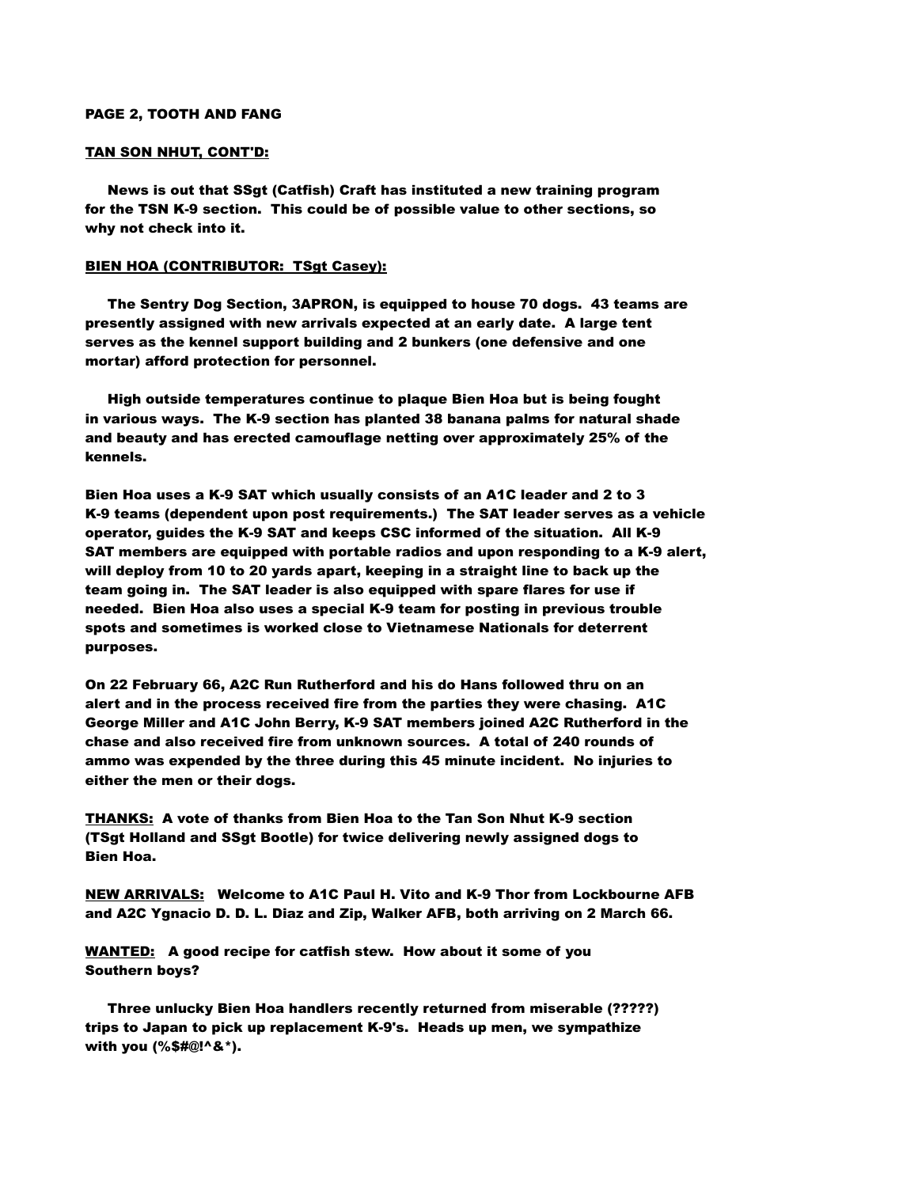# PAGE 2, TOOTH AND FANG

# TAN SON NHUT, CONT'D:

 News is out that SSgt (Catfish) Craft has instituted a new training program for the TSN K-9 section. This could be of possible value to other sections, so why not check into it.

# BIEN HOA (CONTRIBUTOR: TSgt Casey):

 The Sentry Dog Section, 3APRON, is equipped to house 70 dogs. 43 teams are presently assigned with new arrivals expected at an early date. A large tent serves as the kennel support building and 2 bunkers (one defensive and one mortar) afford protection for personnel.

 High outside temperatures continue to plaque Bien Hoa but is being fought in various ways. The K-9 section has planted 38 banana palms for natural shade and beauty and has erected camouflage netting over approximately 25% of the kennels.

Bien Hoa uses a K-9 SAT which usually consists of an A1C leader and 2 to 3 K-9 teams (dependent upon post requirements.) The SAT leader serves as a vehicle operator, guides the K-9 SAT and keeps CSC informed of the situation. All K-9 SAT members are equipped with portable radios and upon responding to a K-9 alert, will deploy from 10 to 20 yards apart, keeping in a straight line to back up the team going in. The SAT leader is also equipped with spare flares for use if needed. Bien Hoa also uses a special K-9 team for posting in previous trouble spots and sometimes is worked close to Vietnamese Nationals for deterrent purposes.

On 22 February 66, A2C Run Rutherford and his do Hans followed thru on an alert and in the process received fire from the parties they were chasing. A1C George Miller and A1C John Berry, K-9 SAT members joined A2C Rutherford in the chase and also received fire from unknown sources. A total of 240 rounds of ammo was expended by the three during this 45 minute incident. No injuries to either the men or their dogs.

THANKS: A vote of thanks from Bien Hoa to the Tan Son Nhut K-9 section (TSgt Holland and SSgt Bootle) for twice delivering newly assigned dogs to Bien Hoa.

NEW ARRIVALS: Welcome to A1C Paul H. Vito and K-9 Thor from Lockbourne AFB and A2C Ygnacio D. D. L. Diaz and Zip, Walker AFB, both arriving on 2 March 66.

WANTED: A good recipe for catfish stew. How about it some of you Southern boys?

 Three unlucky Bien Hoa handlers recently returned from miserable (?????) trips to Japan to pick up replacement K-9's. Heads up men, we sympathize with you (%\$#@!^&\*).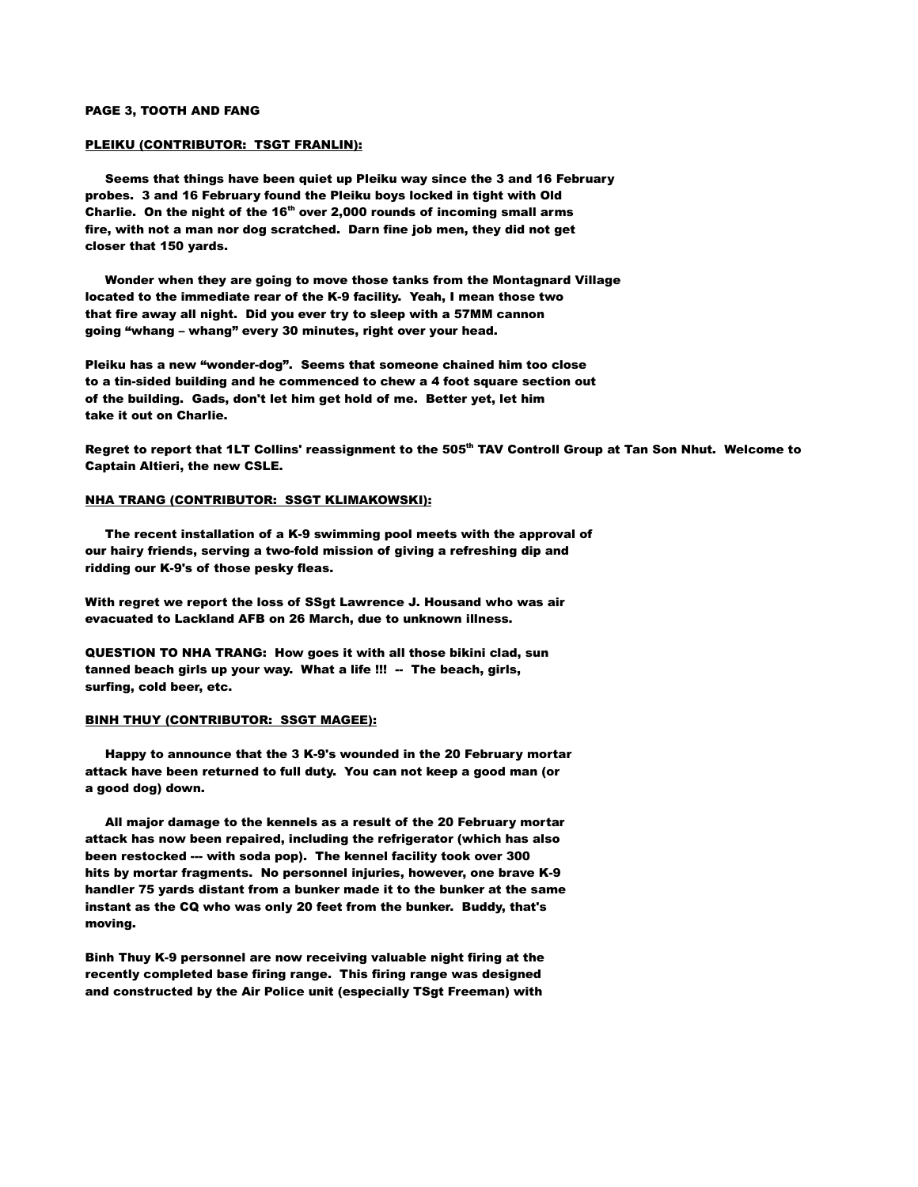#### PAGE 3, TOOTH AND FANG

#### PLEIKU (CONTRIBUTOR: TSGT FRANLIN):

 Seems that things have been quiet up Pleiku way since the 3 and 16 February probes. 3 and 16 February found the Pleiku boys locked in tight with Old Charlie. On the night of the 16<sup>th</sup> over 2,000 rounds of incoming small arms fire, with not a man nor dog scratched. Darn fine job men, they did not get closer that 150 yards.

 Wonder when they are going to move those tanks from the Montagnard Village located to the immediate rear of the K-9 facility. Yeah, I mean those two that fire away all night. Did you ever try to sleep with a 57MM cannon going "whang – whang" every 30 minutes, right over your head.

Pleiku has a new "wonder-dog". Seems that someone chained him too close to a tin-sided building and he commenced to chew a 4 foot square section out of the building. Gads, don't let him get hold of me. Better yet, let him take it out on Charlie.

Regret to report that 1LT Collins' reassignment to the 505<sup>th</sup> TAV Controll Group at Tan Son Nhut. Welcome to Captain Altieri, the new CSLE.

### NHA TRANG (CONTRIBUTOR: SSGT KLIMAKOWSKI):

 The recent installation of a K-9 swimming pool meets with the approval of our hairy friends, serving a two-fold mission of giving a refreshing dip and ridding our K-9's of those pesky fleas.

With regret we report the loss of SSgt Lawrence J. Housand who was air evacuated to Lackland AFB on 26 March, due to unknown illness.

QUESTION TO NHA TRANG: How goes it with all those bikini clad, sun tanned beach girls up your way. What a life !!! -- The beach, girls, surfing, cold beer, etc.

#### BINH THUY (CONTRIBUTOR: SSGT MAGEE):

 Happy to announce that the 3 K-9's wounded in the 20 February mortar attack have been returned to full duty. You can not keep a good man (or a good dog) down.

 All major damage to the kennels as a result of the 20 February mortar attack has now been repaired, including the refrigerator (which has also been restocked --- with soda pop). The kennel facility took over 300 hits by mortar fragments. No personnel injuries, however, one brave K-9 handler 75 yards distant from a bunker made it to the bunker at the same instant as the CQ who was only 20 feet from the bunker. Buddy, that's moving.

Binh Thuy K-9 personnel are now receiving valuable night firing at the recently completed base firing range. This firing range was designed and constructed by the Air Police unit (especially TSgt Freeman) with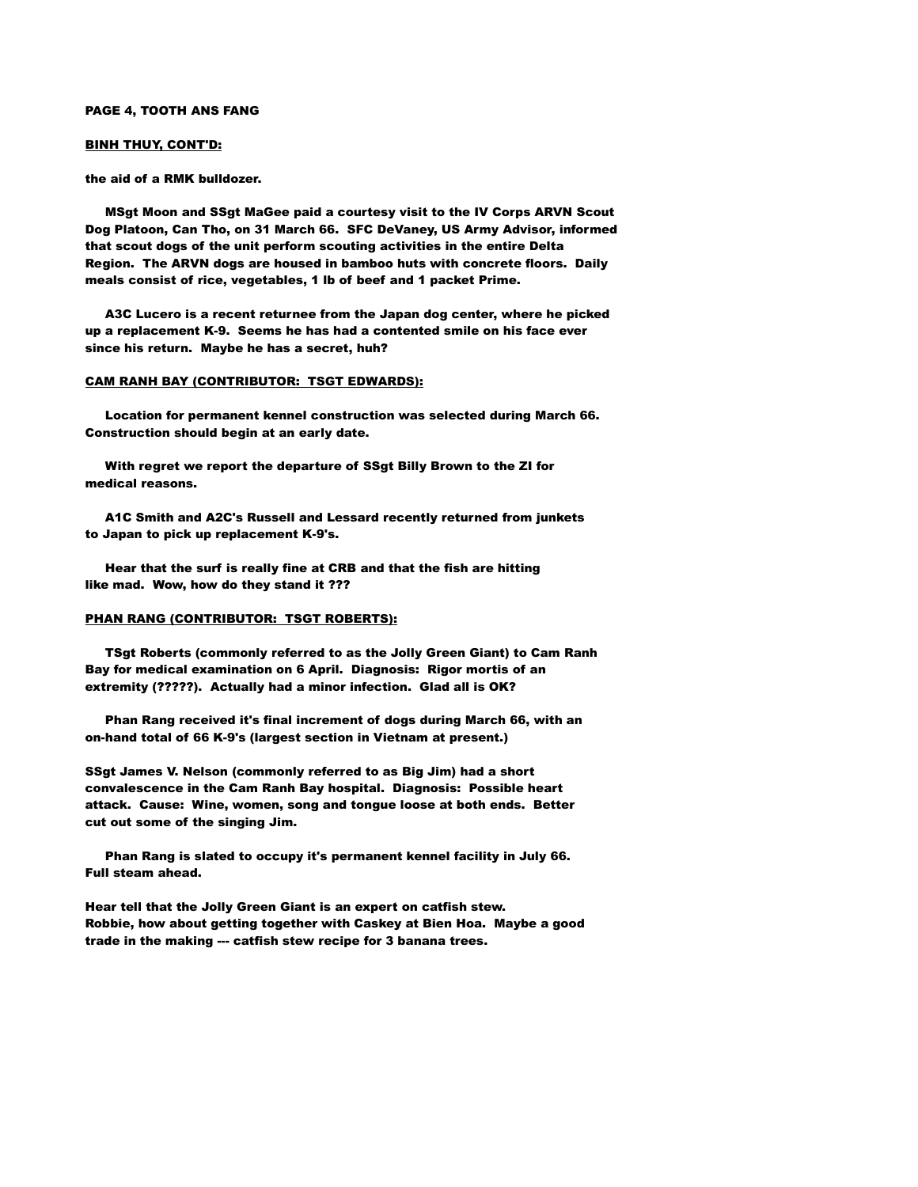#### PAGE 4, TOOTH ANS FANG

## BINH THUY, CONT'D:

the aid of a RMK bulldozer.

 MSgt Moon and SSgt MaGee paid a courtesy visit to the IV Corps ARVN Scout Dog Platoon, Can Tho, on 31 March 66. SFC DeVaney, US Army Advisor, informed that scout dogs of the unit perform scouting activities in the entire Delta Region. The ARVN dogs are housed in bamboo huts with concrete floors. Daily meals consist of rice, vegetables, 1 lb of beef and 1 packet Prime.

 A3C Lucero is a recent returnee from the Japan dog center, where he picked up a replacement K-9. Seems he has had a contented smile on his face ever since his return. Maybe he has a secret, huh?

## CAM RANH BAY (CONTRIBUTOR: TSGT EDWARDS):

 Location for permanent kennel construction was selected during March 66. Construction should begin at an early date.

 With regret we report the departure of SSgt Billy Brown to the ZI for medical reasons.

 A1C Smith and A2C's Russell and Lessard recently returned from junkets to Japan to pick up replacement K-9's.

 Hear that the surf is really fine at CRB and that the fish are hitting like mad. Wow, how do they stand it ???

## PHAN RANG (CONTRIBUTOR: TSGT ROBERTS):

 TSgt Roberts (commonly referred to as the Jolly Green Giant) to Cam Ranh Bay for medical examination on 6 April. Diagnosis: Rigor mortis of an extremity (?????). Actually had a minor infection. Glad all is OK?

 Phan Rang received it's final increment of dogs during March 66, with an on-hand total of 66 K-9's (largest section in Vietnam at present.)

SSgt James V. Nelson (commonly referred to as Big Jim) had a short convalescence in the Cam Ranh Bay hospital. Diagnosis: Possible heart attack. Cause: Wine, women, song and tongue loose at both ends. Better cut out some of the singing Jim.

 Phan Rang is slated to occupy it's permanent kennel facility in July 66. Full steam ahead.

Hear tell that the Jolly Green Giant is an expert on catfish stew. Robbie, how about getting together with Caskey at Bien Hoa. Maybe a good trade in the making --- catfish stew recipe for 3 banana trees.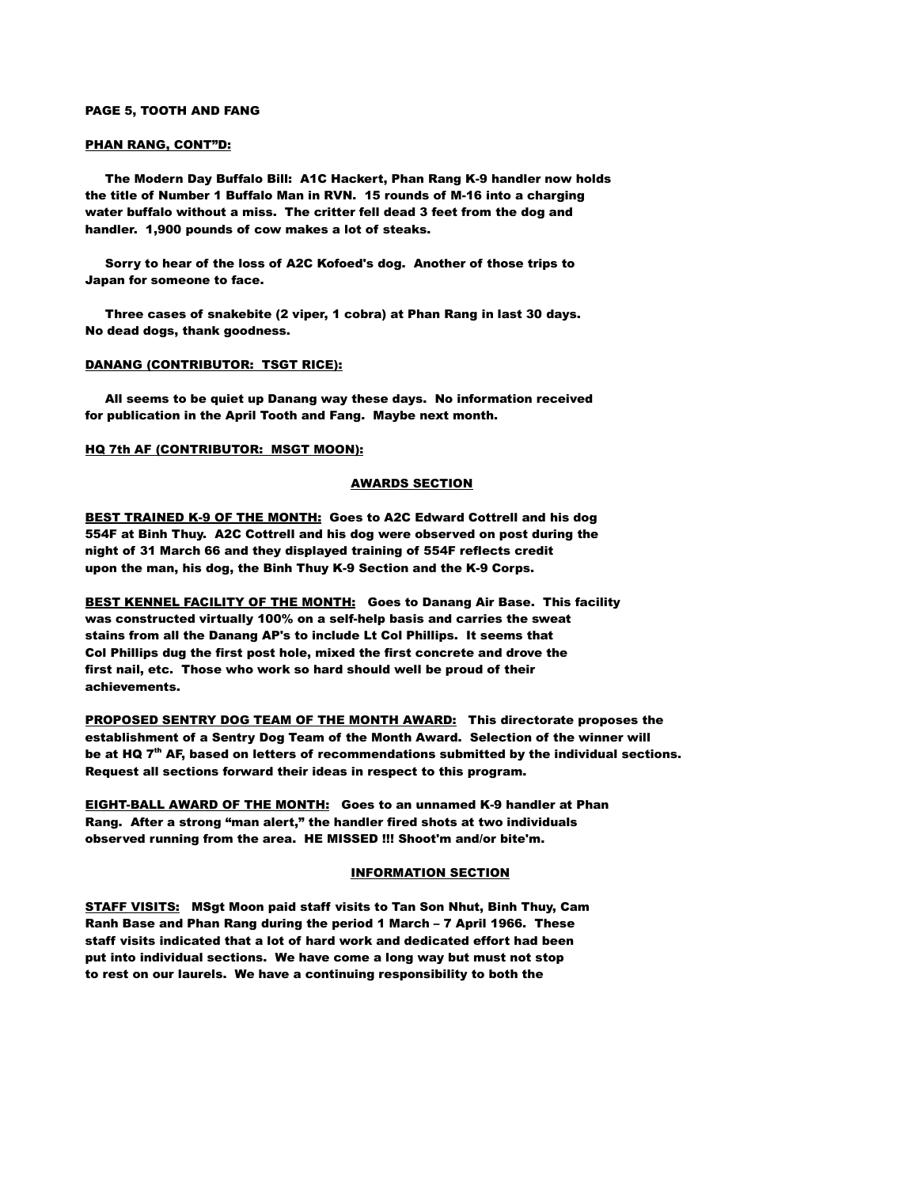#### PAGE 5, TOOTH AND FANG

## PHAN RANG, CONT"D:

 The Modern Day Buffalo Bill: A1C Hackert, Phan Rang K-9 handler now holds the title of Number 1 Buffalo Man in RVN. 15 rounds of M-16 into a charging water buffalo without a miss. The critter fell dead 3 feet from the dog and handler. 1,900 pounds of cow makes a lot of steaks.

 Sorry to hear of the loss of A2C Kofoed's dog. Another of those trips to Japan for someone to face.

 Three cases of snakebite (2 viper, 1 cobra) at Phan Rang in last 30 days. No dead dogs, thank goodness.

## DANANG (CONTRIBUTOR: TSGT RICE):

 All seems to be quiet up Danang way these days. No information received for publication in the April Tooth and Fang. Maybe next month.

## HQ 7th AF (CONTRIBUTOR: MSGT MOON):

### AWARDS SECTION

BEST TRAINED K-9 OF THE MONTH: Goes to A2C Edward Cottrell and his dog 554F at Binh Thuy. A2C Cottrell and his dog were observed on post during the night of 31 March 66 and they displayed training of 554F reflects credit upon the man, his dog, the Binh Thuy K-9 Section and the K-9 Corps.

BEST KENNEL FACILITY OF THE MONTH: Goes to Danang Air Base. This facility was constructed virtually 100% on a self-help basis and carries the sweat stains from all the Danang AP's to include Lt Col Phillips. It seems that Col Phillips dug the first post hole, mixed the first concrete and drove the first nail, etc. Those who work so hard should well be proud of their achievements.

PROPOSED SENTRY DOG TEAM OF THE MONTH AWARD: This directorate proposes the establishment of a Sentry Dog Team of the Month Award. Selection of the winner will be at HQ  $7<sup>th</sup>$  AF, based on letters of recommendations submitted by the individual sections. Request all sections forward their ideas in respect to this program.

EIGHT-BALL AWARD OF THE MONTH: Goes to an unnamed K-9 handler at Phan Rang. After a strong "man alert," the handler fired shots at two individuals observed running from the area. HE MISSED !!! Shoot'm and/or bite'm.

# INFORMATION SECTION

STAFF VISITS: MSgt Moon paid staff visits to Tan Son Nhut, Binh Thuy, Cam Ranh Base and Phan Rang during the period 1 March – 7 April 1966. These staff visits indicated that a lot of hard work and dedicated effort had been put into individual sections. We have come a long way but must not stop to rest on our laurels. We have a continuing responsibility to both the